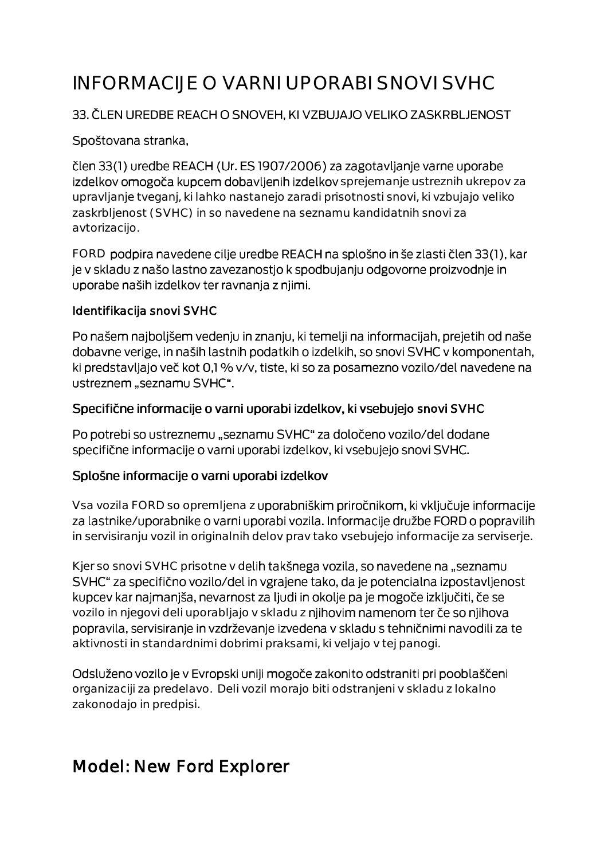# INFORMACIJE O VARNI UPORABI SNOVI SVHC

#### 33. ČLEN UREDBE REACH O SNOVEH, KI VZBUJAJO VELIKO ZASKRBLJENOST

#### Spoštovana stranka,

člen 33(1) uredbe REACH (Ur. ES 1907/2006) za zagotavljanje varne uporabe izdelkov omogoča kupcem dobavljenih izdelkov sprejemanje ustreznih ukrepov za upravljanje tveganj, ki lahko nastanejo zaradi prisotnosti snovi, ki vzbujajo veliko zaskrbljenost (SVHC) in so navedene na seznamu kandidatnih snovi za avtorizacijo.

FORD podpira navedene cilje uredbe REACH na splošno in še zlasti člen 33(1), kar je v skladu z našo lastno zavezanostjo k spodbujanju odgovorne proizvodnje in uporabe naših izdelkov ter ravnanja z njimi.

#### Identifikacija snovi SVHC

Po našem najboljšem vedenju in znanju, ki temelji na informacijah, prejetih od naše dobavne verige, in naših lastnih podatkih o izdelkih, so snovi SVHC v komponentah, ki predstavljajo več kot 0,1 % v/v, tiste, ki so za posamezno vozilo/del navedene na ustreznem "seznamu SVHC".

#### Specifične informacije o varni uporabi izdelkov, ki vsebujejo snovi SVHC

Po potrebi so ustreznemu "seznamu SVHC" za določeno vozilo/del dodane specifične informacije o varni uporabi izdelkov, ki vsebujejo snovi SVHC.

#### Splošne informacije o varni uporabi izdelkov

Vsa vozila FORD so opremljena z uporabniškim priročnikom, ki vključuje informacije za lastnike/uporabnike o varni uporabi vozila. Informacije družbe FORD o popravilih in servisiranju vozil in originalnih delov prav tako vsebujejo informacije za serviserje.

Kjer so snovi SVHC prisotne v delih takšnega vozila, so navedene na "seznamu SVHC" za specifično vozilo/del in vgrajene tako, da je potencialna izpostavljenost kupcev kar najmanjša, nevarnost za ljudi in okolje pa je mogoče izključiti, če se vozilo in njegovi deli uporabljajo v skladu z njihovim namenom ter če so njihova popravila, servisiranje in vzdrževanje izvedena v skladu s tehničnimi navodili za te aktivnosti in standardnimi dobrimi praksami, ki veljajo v tej panogi.

Odsluženo vozilo je v Evropski uniji mogoče zakonito odstraniti pri pooblaščeni organizaciji za predelavo. Deli vozil morajo biti odstranjeni v skladu z lokalno zakonodajo in predpisi.

# Model: New Ford Explorer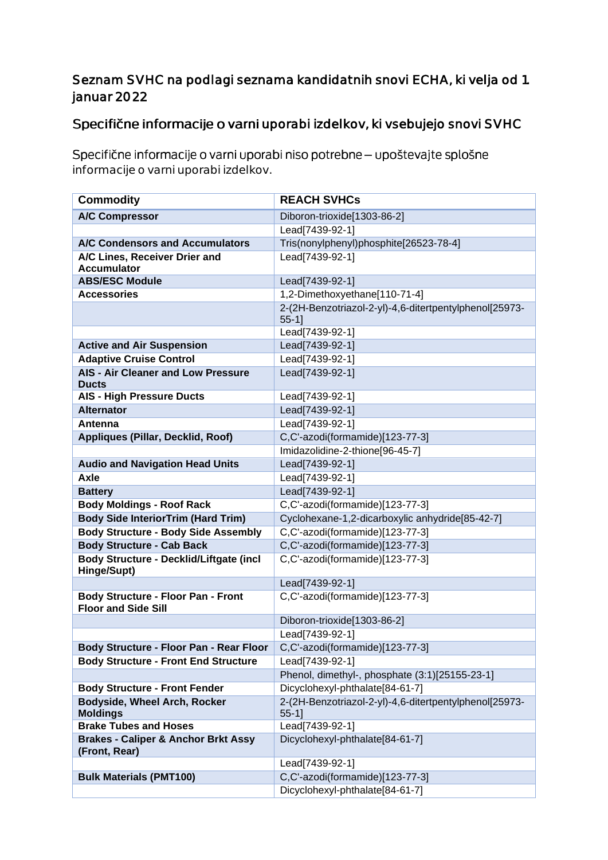### Seznam SVHC na podlagi seznama kandidatnih snovi ECHA, ki velja od 1. januar 2022

## Specifične informacije o varni uporabi izdelkov, ki vsebujejo snovi SVHC

Specifične informacije o varni uporabi niso potrebne - upoštevajte splošne informacije o varni uporabi izdelkov.

| <b>Commodity</b>                                                        | <b>REACH SVHCs</b>                                                 |
|-------------------------------------------------------------------------|--------------------------------------------------------------------|
| <b>A/C Compressor</b>                                                   | Diboron-trioxide[1303-86-2]                                        |
|                                                                         | Lead[7439-92-1]                                                    |
| A/C Condensors and Accumulators                                         | Tris(nonylphenyl)phosphite[26523-78-4]                             |
| A/C Lines, Receiver Drier and                                           | Lead[7439-92-1]                                                    |
| <b>Accumulator</b>                                                      |                                                                    |
| <b>ABS/ESC Module</b>                                                   | Lead[7439-92-1]                                                    |
| <b>Accessories</b>                                                      | 1,2-Dimethoxyethane[110-71-4]                                      |
|                                                                         | 2-(2H-Benzotriazol-2-yl)-4,6-ditertpentylphenol[25973-             |
|                                                                         | $55-1$ ]<br>Lead[7439-92-1]                                        |
| <b>Active and Air Suspension</b>                                        | Lead[7439-92-1]                                                    |
| <b>Adaptive Cruise Control</b>                                          | Lead[7439-92-1]                                                    |
| AIS - Air Cleaner and Low Pressure                                      | Lead[7439-92-1]                                                    |
| <b>Ducts</b>                                                            |                                                                    |
| <b>AIS - High Pressure Ducts</b>                                        | Lead[7439-92-1]                                                    |
| <b>Alternator</b>                                                       | Lead[7439-92-1]                                                    |
| Antenna                                                                 | Lead[7439-92-1]                                                    |
| Appliques (Pillar, Decklid, Roof)                                       | C,C'-azodi(formamide)[123-77-3]                                    |
|                                                                         | Imidazolidine-2-thione[96-45-7]                                    |
| <b>Audio and Navigation Head Units</b>                                  | Lead[7439-92-1]                                                    |
| Axle                                                                    | Lead[7439-92-1]                                                    |
| <b>Battery</b>                                                          | Lead[7439-92-1]                                                    |
| <b>Body Moldings - Roof Rack</b>                                        | C,C'-azodi(formamide)[123-77-3]                                    |
| <b>Body Side InteriorTrim (Hard Trim)</b>                               | Cyclohexane-1,2-dicarboxylic anhydride[85-42-7]                    |
| <b>Body Structure - Body Side Assembly</b>                              | C,C'-azodi(formamide)[123-77-3]                                    |
| <b>Body Structure - Cab Back</b>                                        | C,C'-azodi(formamide)[123-77-3]                                    |
| Body Structure - Decklid/Liftgate (incl<br>Hinge/Supt)                  | C,C'-azodi(formamide)[123-77-3]                                    |
|                                                                         | Lead[7439-92-1]                                                    |
| <b>Body Structure - Floor Pan - Front</b><br><b>Floor and Side Sill</b> | C,C'-azodi(formamide)[123-77-3]                                    |
|                                                                         | Diboron-trioxide[1303-86-2]                                        |
|                                                                         | Lead[7439-92-1]                                                    |
| Body Structure - Floor Pan - Rear Floor                                 | C,C'-azodi(formamide)[123-77-3]                                    |
| <b>Body Structure - Front End Structure</b>                             | Lead[7439-92-1]                                                    |
|                                                                         | Phenol, dimethyl-, phosphate (3:1)[25155-23-1]                     |
| <b>Body Structure - Front Fender</b>                                    | Dicyclohexyl-phthalate[84-61-7]                                    |
| <b>Bodyside, Wheel Arch, Rocker</b><br><b>Moldings</b>                  | 2-(2H-Benzotriazol-2-yl)-4,6-ditertpentylphenol[25973-<br>$55-1$ ] |
| <b>Brake Tubes and Hoses</b>                                            | Lead[7439-92-1]                                                    |
| <b>Brakes - Caliper &amp; Anchor Brkt Assy</b>                          | Dicyclohexyl-phthalate[84-61-7]                                    |
| (Front, Rear)                                                           |                                                                    |
|                                                                         | Lead[7439-92-1]                                                    |
| <b>Bulk Materials (PMT100)</b>                                          | C.C'-azodi(formamide)[123-77-3]                                    |
|                                                                         | Dicyclohexyl-phthalate[84-61-7]                                    |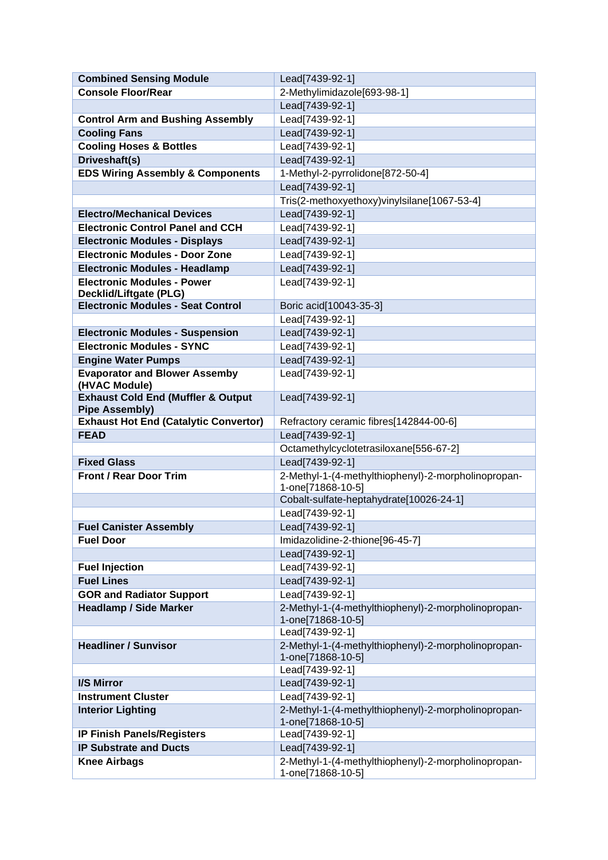| <b>Combined Sensing Module</b>                                        | Lead[7439-92-1]                                                          |
|-----------------------------------------------------------------------|--------------------------------------------------------------------------|
| <b>Console Floor/Rear</b>                                             | 2-Methylimidazole[693-98-1]                                              |
|                                                                       | Lead[7439-92-1]                                                          |
| <b>Control Arm and Bushing Assembly</b>                               | Lead[7439-92-1]                                                          |
| <b>Cooling Fans</b>                                                   | Lead[7439-92-1]                                                          |
| <b>Cooling Hoses &amp; Bottles</b>                                    | Lead[7439-92-1]                                                          |
| Driveshaft(s)                                                         | Lead[7439-92-1]                                                          |
| <b>EDS Wiring Assembly &amp; Components</b>                           | 1-Methyl-2-pyrrolidone[872-50-4]                                         |
|                                                                       | Lead[7439-92-1]                                                          |
|                                                                       | Tris(2-methoxyethoxy)vinylsilane[1067-53-4]                              |
| <b>Electro/Mechanical Devices</b>                                     | Lead[7439-92-1]                                                          |
| <b>Electronic Control Panel and CCH</b>                               | Lead[7439-92-1]                                                          |
| <b>Electronic Modules - Displays</b>                                  | Lead[7439-92-1]                                                          |
| <b>Electronic Modules - Door Zone</b>                                 | Lead[7439-92-1]                                                          |
| <b>Electronic Modules - Headlamp</b>                                  | Lead[7439-92-1]                                                          |
| <b>Electronic Modules - Power</b>                                     | Lead[7439-92-1]                                                          |
| Decklid/Liftgate (PLG)                                                |                                                                          |
| <b>Electronic Modules - Seat Control</b>                              | Boric acid[10043-35-3]                                                   |
|                                                                       | Lead[7439-92-1]                                                          |
| <b>Electronic Modules - Suspension</b>                                | Lead[7439-92-1]                                                          |
| <b>Electronic Modules - SYNC</b>                                      | Lead[7439-92-1]                                                          |
| <b>Engine Water Pumps</b>                                             | Lead[7439-92-1]                                                          |
| <b>Evaporator and Blower Assemby</b>                                  | Lead[7439-92-1]                                                          |
| (HVAC Module)                                                         |                                                                          |
| <b>Exhaust Cold End (Muffler &amp; Output</b>                         | Lead[7439-92-1]                                                          |
| <b>Pipe Assembly)</b><br><b>Exhaust Hot End (Catalytic Convertor)</b> | Refractory ceramic fibres[142844-00-6]                                   |
| <b>FEAD</b>                                                           | Lead[7439-92-1]                                                          |
|                                                                       | Octamethylcyclotetrasiloxane[556-67-2]                                   |
| <b>Fixed Glass</b>                                                    | Lead[7439-92-1]                                                          |
| <b>Front / Rear Door Trim</b>                                         | 2-Methyl-1-(4-methylthiophenyl)-2-morpholinopropan-                      |
|                                                                       | 1-one[71868-10-5]                                                        |
|                                                                       | Cobalt-sulfate-heptahydrate[10026-24-1]                                  |
|                                                                       | Lead[7439-92-1]                                                          |
| <b>Fuel Canister Assembly</b>                                         | Lead[7439-92-1]                                                          |
| <b>Fuel Door</b>                                                      | Imidazolidine-2-thione[96-45-7]                                          |
|                                                                       | Lead[7439-92-1]                                                          |
| <b>Fuel Injection</b>                                                 | Lead[7439-92-1]                                                          |
| <b>Fuel Lines</b>                                                     | Lead[7439-92-1]                                                          |
| <b>GOR and Radiator Support</b>                                       | Lead[7439-92-1]                                                          |
| <b>Headlamp / Side Marker</b>                                         | 2-Methyl-1-(4-methylthiophenyl)-2-morpholinopropan-                      |
|                                                                       | 1-one[71868-10-5]                                                        |
|                                                                       | Lead[7439-92-1]                                                          |
| <b>Headliner / Sunvisor</b>                                           | 2-Methyl-1-(4-methylthiophenyl)-2-morpholinopropan-                      |
|                                                                       | 1-one[71868-10-5]                                                        |
|                                                                       | Lead[7439-92-1]                                                          |
| I/S Mirror                                                            | Lead[7439-92-1]                                                          |
| <b>Instrument Cluster</b>                                             | Lead[7439-92-1]                                                          |
| <b>Interior Lighting</b>                                              | 2-Methyl-1-(4-methylthiophenyl)-2-morpholinopropan-<br>1-one[71868-10-5] |
| <b>IP Finish Panels/Registers</b>                                     | Lead[7439-92-1]                                                          |
| <b>IP Substrate and Ducts</b>                                         | Lead[7439-92-1]                                                          |
| <b>Knee Airbags</b>                                                   | 2-Methyl-1-(4-methylthiophenyl)-2-morpholinopropan-                      |
|                                                                       | 1-one[71868-10-5]                                                        |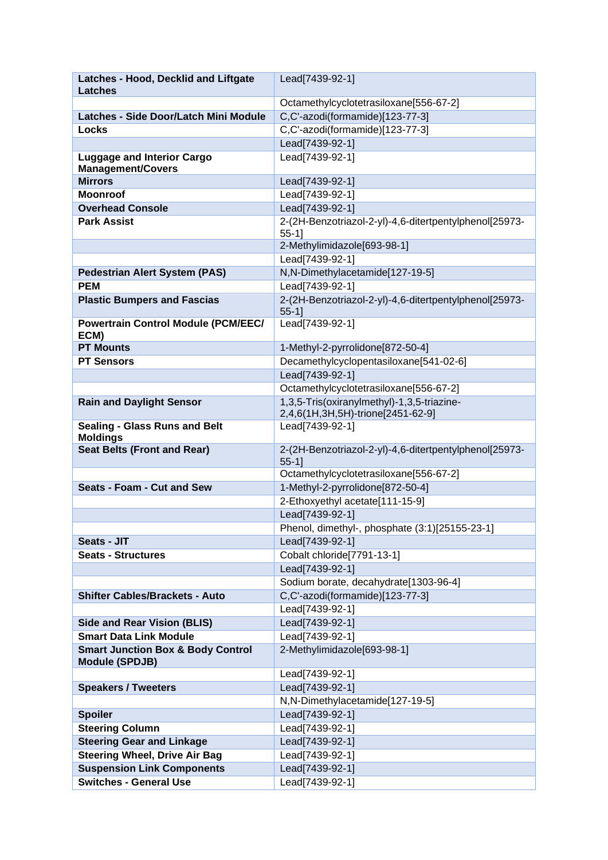| <b>Latches</b><br>Octamethylcyclotetrasiloxane[556-67-2]<br>C,C'-azodi(formamide)[123-77-3]<br>Latches - Side Door/Latch Mini Module<br>C,C'-azodi(formamide)[123-77-3]<br><b>Locks</b><br>Lead[7439-92-1]<br>Lead[7439-92-1]<br><b>Luggage and Interior Cargo</b><br><b>Management/Covers</b><br><b>Mirrors</b><br>Lead[7439-92-1]<br><b>Moonroof</b><br>Lead[7439-92-1]<br><b>Overhead Console</b><br>Lead[7439-92-1]<br><b>Park Assist</b><br>2-(2H-Benzotriazol-2-yl)-4,6-ditertpentylphenol[25973-<br>$55-1$ ]<br>2-Methylimidazole[693-98-1]<br>Lead[7439-92-1]<br>N,N-Dimethylacetamide[127-19-5]<br><b>Pedestrian Alert System (PAS)</b><br><b>PEM</b><br>Lead[7439-92-1]<br>2-(2H-Benzotriazol-2-yl)-4,6-ditertpentylphenol[25973-<br><b>Plastic Bumpers and Fascias</b><br>$55-1$ ]<br><b>Powertrain Control Module (PCM/EEC/</b><br>Lead[7439-92-1]<br>ECM)<br><b>PT Mounts</b><br>1-Methyl-2-pyrrolidone[872-50-4]<br>Decamethylcyclopentasiloxane[541-02-6]<br><b>PT Sensors</b><br>Lead[7439-92-1]<br>Octamethylcyclotetrasiloxane[556-67-2]<br>1,3,5-Tris(oxiranylmethyl)-1,3,5-triazine-<br><b>Rain and Daylight Sensor</b><br>2,4,6(1H,3H,5H)-trione[2451-62-9]<br><b>Sealing - Glass Runs and Belt</b><br>Lead[7439-92-1]<br><b>Moldings</b><br>2-(2H-Benzotriazol-2-yl)-4,6-ditertpentylphenol[25973-<br><b>Seat Belts (Front and Rear)</b><br>$55-1$ ]<br>Octamethylcyclotetrasiloxane[556-67-2]<br>Seats - Foam - Cut and Sew<br>1-Methyl-2-pyrrolidone[872-50-4]<br>2-Ethoxyethyl acetate[111-15-9]<br>Lead[7439-92-1]<br>Phenol, dimethyl-, phosphate (3:1)[25155-23-1]<br>Seats - JIT<br>Lead[7439-92-1]<br>Seats - Structures<br>Cobalt chloride[7791-13-1]<br>Lead[7439-92-1]<br>Sodium borate, decahydrate[1303-96-4]<br>C,C'-azodi(formamide)[123-77-3]<br><b>Shifter Cables/Brackets - Auto</b><br>Lead[7439-92-1]<br>Lead[7439-92-1]<br><b>Side and Rear Vision (BLIS)</b><br><b>Smart Data Link Module</b><br>Lead[7439-92-1]<br>2-Methylimidazole[693-98-1]<br><b>Smart Junction Box &amp; Body Control</b><br><b>Module (SPDJB)</b><br>Lead[7439-92-1]<br><b>Speakers / Tweeters</b><br>Lead[7439-92-1] |
|------------------------------------------------------------------------------------------------------------------------------------------------------------------------------------------------------------------------------------------------------------------------------------------------------------------------------------------------------------------------------------------------------------------------------------------------------------------------------------------------------------------------------------------------------------------------------------------------------------------------------------------------------------------------------------------------------------------------------------------------------------------------------------------------------------------------------------------------------------------------------------------------------------------------------------------------------------------------------------------------------------------------------------------------------------------------------------------------------------------------------------------------------------------------------------------------------------------------------------------------------------------------------------------------------------------------------------------------------------------------------------------------------------------------------------------------------------------------------------------------------------------------------------------------------------------------------------------------------------------------------------------------------------------------------------------------------------------------------------------------------------------------------------------------------------------------------------------------------------------------------------------------------------------------------------------------------------------------------------------------------------------------------------------------------------------------------------------------------------------------------------------|
|                                                                                                                                                                                                                                                                                                                                                                                                                                                                                                                                                                                                                                                                                                                                                                                                                                                                                                                                                                                                                                                                                                                                                                                                                                                                                                                                                                                                                                                                                                                                                                                                                                                                                                                                                                                                                                                                                                                                                                                                                                                                                                                                          |
|                                                                                                                                                                                                                                                                                                                                                                                                                                                                                                                                                                                                                                                                                                                                                                                                                                                                                                                                                                                                                                                                                                                                                                                                                                                                                                                                                                                                                                                                                                                                                                                                                                                                                                                                                                                                                                                                                                                                                                                                                                                                                                                                          |
|                                                                                                                                                                                                                                                                                                                                                                                                                                                                                                                                                                                                                                                                                                                                                                                                                                                                                                                                                                                                                                                                                                                                                                                                                                                                                                                                                                                                                                                                                                                                                                                                                                                                                                                                                                                                                                                                                                                                                                                                                                                                                                                                          |
|                                                                                                                                                                                                                                                                                                                                                                                                                                                                                                                                                                                                                                                                                                                                                                                                                                                                                                                                                                                                                                                                                                                                                                                                                                                                                                                                                                                                                                                                                                                                                                                                                                                                                                                                                                                                                                                                                                                                                                                                                                                                                                                                          |
|                                                                                                                                                                                                                                                                                                                                                                                                                                                                                                                                                                                                                                                                                                                                                                                                                                                                                                                                                                                                                                                                                                                                                                                                                                                                                                                                                                                                                                                                                                                                                                                                                                                                                                                                                                                                                                                                                                                                                                                                                                                                                                                                          |
|                                                                                                                                                                                                                                                                                                                                                                                                                                                                                                                                                                                                                                                                                                                                                                                                                                                                                                                                                                                                                                                                                                                                                                                                                                                                                                                                                                                                                                                                                                                                                                                                                                                                                                                                                                                                                                                                                                                                                                                                                                                                                                                                          |
|                                                                                                                                                                                                                                                                                                                                                                                                                                                                                                                                                                                                                                                                                                                                                                                                                                                                                                                                                                                                                                                                                                                                                                                                                                                                                                                                                                                                                                                                                                                                                                                                                                                                                                                                                                                                                                                                                                                                                                                                                                                                                                                                          |
|                                                                                                                                                                                                                                                                                                                                                                                                                                                                                                                                                                                                                                                                                                                                                                                                                                                                                                                                                                                                                                                                                                                                                                                                                                                                                                                                                                                                                                                                                                                                                                                                                                                                                                                                                                                                                                                                                                                                                                                                                                                                                                                                          |
|                                                                                                                                                                                                                                                                                                                                                                                                                                                                                                                                                                                                                                                                                                                                                                                                                                                                                                                                                                                                                                                                                                                                                                                                                                                                                                                                                                                                                                                                                                                                                                                                                                                                                                                                                                                                                                                                                                                                                                                                                                                                                                                                          |
|                                                                                                                                                                                                                                                                                                                                                                                                                                                                                                                                                                                                                                                                                                                                                                                                                                                                                                                                                                                                                                                                                                                                                                                                                                                                                                                                                                                                                                                                                                                                                                                                                                                                                                                                                                                                                                                                                                                                                                                                                                                                                                                                          |
|                                                                                                                                                                                                                                                                                                                                                                                                                                                                                                                                                                                                                                                                                                                                                                                                                                                                                                                                                                                                                                                                                                                                                                                                                                                                                                                                                                                                                                                                                                                                                                                                                                                                                                                                                                                                                                                                                                                                                                                                                                                                                                                                          |
|                                                                                                                                                                                                                                                                                                                                                                                                                                                                                                                                                                                                                                                                                                                                                                                                                                                                                                                                                                                                                                                                                                                                                                                                                                                                                                                                                                                                                                                                                                                                                                                                                                                                                                                                                                                                                                                                                                                                                                                                                                                                                                                                          |
|                                                                                                                                                                                                                                                                                                                                                                                                                                                                                                                                                                                                                                                                                                                                                                                                                                                                                                                                                                                                                                                                                                                                                                                                                                                                                                                                                                                                                                                                                                                                                                                                                                                                                                                                                                                                                                                                                                                                                                                                                                                                                                                                          |
|                                                                                                                                                                                                                                                                                                                                                                                                                                                                                                                                                                                                                                                                                                                                                                                                                                                                                                                                                                                                                                                                                                                                                                                                                                                                                                                                                                                                                                                                                                                                                                                                                                                                                                                                                                                                                                                                                                                                                                                                                                                                                                                                          |
|                                                                                                                                                                                                                                                                                                                                                                                                                                                                                                                                                                                                                                                                                                                                                                                                                                                                                                                                                                                                                                                                                                                                                                                                                                                                                                                                                                                                                                                                                                                                                                                                                                                                                                                                                                                                                                                                                                                                                                                                                                                                                                                                          |
|                                                                                                                                                                                                                                                                                                                                                                                                                                                                                                                                                                                                                                                                                                                                                                                                                                                                                                                                                                                                                                                                                                                                                                                                                                                                                                                                                                                                                                                                                                                                                                                                                                                                                                                                                                                                                                                                                                                                                                                                                                                                                                                                          |
|                                                                                                                                                                                                                                                                                                                                                                                                                                                                                                                                                                                                                                                                                                                                                                                                                                                                                                                                                                                                                                                                                                                                                                                                                                                                                                                                                                                                                                                                                                                                                                                                                                                                                                                                                                                                                                                                                                                                                                                                                                                                                                                                          |
|                                                                                                                                                                                                                                                                                                                                                                                                                                                                                                                                                                                                                                                                                                                                                                                                                                                                                                                                                                                                                                                                                                                                                                                                                                                                                                                                                                                                                                                                                                                                                                                                                                                                                                                                                                                                                                                                                                                                                                                                                                                                                                                                          |
|                                                                                                                                                                                                                                                                                                                                                                                                                                                                                                                                                                                                                                                                                                                                                                                                                                                                                                                                                                                                                                                                                                                                                                                                                                                                                                                                                                                                                                                                                                                                                                                                                                                                                                                                                                                                                                                                                                                                                                                                                                                                                                                                          |
|                                                                                                                                                                                                                                                                                                                                                                                                                                                                                                                                                                                                                                                                                                                                                                                                                                                                                                                                                                                                                                                                                                                                                                                                                                                                                                                                                                                                                                                                                                                                                                                                                                                                                                                                                                                                                                                                                                                                                                                                                                                                                                                                          |
|                                                                                                                                                                                                                                                                                                                                                                                                                                                                                                                                                                                                                                                                                                                                                                                                                                                                                                                                                                                                                                                                                                                                                                                                                                                                                                                                                                                                                                                                                                                                                                                                                                                                                                                                                                                                                                                                                                                                                                                                                                                                                                                                          |
|                                                                                                                                                                                                                                                                                                                                                                                                                                                                                                                                                                                                                                                                                                                                                                                                                                                                                                                                                                                                                                                                                                                                                                                                                                                                                                                                                                                                                                                                                                                                                                                                                                                                                                                                                                                                                                                                                                                                                                                                                                                                                                                                          |
|                                                                                                                                                                                                                                                                                                                                                                                                                                                                                                                                                                                                                                                                                                                                                                                                                                                                                                                                                                                                                                                                                                                                                                                                                                                                                                                                                                                                                                                                                                                                                                                                                                                                                                                                                                                                                                                                                                                                                                                                                                                                                                                                          |
|                                                                                                                                                                                                                                                                                                                                                                                                                                                                                                                                                                                                                                                                                                                                                                                                                                                                                                                                                                                                                                                                                                                                                                                                                                                                                                                                                                                                                                                                                                                                                                                                                                                                                                                                                                                                                                                                                                                                                                                                                                                                                                                                          |
|                                                                                                                                                                                                                                                                                                                                                                                                                                                                                                                                                                                                                                                                                                                                                                                                                                                                                                                                                                                                                                                                                                                                                                                                                                                                                                                                                                                                                                                                                                                                                                                                                                                                                                                                                                                                                                                                                                                                                                                                                                                                                                                                          |
|                                                                                                                                                                                                                                                                                                                                                                                                                                                                                                                                                                                                                                                                                                                                                                                                                                                                                                                                                                                                                                                                                                                                                                                                                                                                                                                                                                                                                                                                                                                                                                                                                                                                                                                                                                                                                                                                                                                                                                                                                                                                                                                                          |
|                                                                                                                                                                                                                                                                                                                                                                                                                                                                                                                                                                                                                                                                                                                                                                                                                                                                                                                                                                                                                                                                                                                                                                                                                                                                                                                                                                                                                                                                                                                                                                                                                                                                                                                                                                                                                                                                                                                                                                                                                                                                                                                                          |
|                                                                                                                                                                                                                                                                                                                                                                                                                                                                                                                                                                                                                                                                                                                                                                                                                                                                                                                                                                                                                                                                                                                                                                                                                                                                                                                                                                                                                                                                                                                                                                                                                                                                                                                                                                                                                                                                                                                                                                                                                                                                                                                                          |
|                                                                                                                                                                                                                                                                                                                                                                                                                                                                                                                                                                                                                                                                                                                                                                                                                                                                                                                                                                                                                                                                                                                                                                                                                                                                                                                                                                                                                                                                                                                                                                                                                                                                                                                                                                                                                                                                                                                                                                                                                                                                                                                                          |
|                                                                                                                                                                                                                                                                                                                                                                                                                                                                                                                                                                                                                                                                                                                                                                                                                                                                                                                                                                                                                                                                                                                                                                                                                                                                                                                                                                                                                                                                                                                                                                                                                                                                                                                                                                                                                                                                                                                                                                                                                                                                                                                                          |
|                                                                                                                                                                                                                                                                                                                                                                                                                                                                                                                                                                                                                                                                                                                                                                                                                                                                                                                                                                                                                                                                                                                                                                                                                                                                                                                                                                                                                                                                                                                                                                                                                                                                                                                                                                                                                                                                                                                                                                                                                                                                                                                                          |
|                                                                                                                                                                                                                                                                                                                                                                                                                                                                                                                                                                                                                                                                                                                                                                                                                                                                                                                                                                                                                                                                                                                                                                                                                                                                                                                                                                                                                                                                                                                                                                                                                                                                                                                                                                                                                                                                                                                                                                                                                                                                                                                                          |
|                                                                                                                                                                                                                                                                                                                                                                                                                                                                                                                                                                                                                                                                                                                                                                                                                                                                                                                                                                                                                                                                                                                                                                                                                                                                                                                                                                                                                                                                                                                                                                                                                                                                                                                                                                                                                                                                                                                                                                                                                                                                                                                                          |
|                                                                                                                                                                                                                                                                                                                                                                                                                                                                                                                                                                                                                                                                                                                                                                                                                                                                                                                                                                                                                                                                                                                                                                                                                                                                                                                                                                                                                                                                                                                                                                                                                                                                                                                                                                                                                                                                                                                                                                                                                                                                                                                                          |
|                                                                                                                                                                                                                                                                                                                                                                                                                                                                                                                                                                                                                                                                                                                                                                                                                                                                                                                                                                                                                                                                                                                                                                                                                                                                                                                                                                                                                                                                                                                                                                                                                                                                                                                                                                                                                                                                                                                                                                                                                                                                                                                                          |
|                                                                                                                                                                                                                                                                                                                                                                                                                                                                                                                                                                                                                                                                                                                                                                                                                                                                                                                                                                                                                                                                                                                                                                                                                                                                                                                                                                                                                                                                                                                                                                                                                                                                                                                                                                                                                                                                                                                                                                                                                                                                                                                                          |
|                                                                                                                                                                                                                                                                                                                                                                                                                                                                                                                                                                                                                                                                                                                                                                                                                                                                                                                                                                                                                                                                                                                                                                                                                                                                                                                                                                                                                                                                                                                                                                                                                                                                                                                                                                                                                                                                                                                                                                                                                                                                                                                                          |
|                                                                                                                                                                                                                                                                                                                                                                                                                                                                                                                                                                                                                                                                                                                                                                                                                                                                                                                                                                                                                                                                                                                                                                                                                                                                                                                                                                                                                                                                                                                                                                                                                                                                                                                                                                                                                                                                                                                                                                                                                                                                                                                                          |
|                                                                                                                                                                                                                                                                                                                                                                                                                                                                                                                                                                                                                                                                                                                                                                                                                                                                                                                                                                                                                                                                                                                                                                                                                                                                                                                                                                                                                                                                                                                                                                                                                                                                                                                                                                                                                                                                                                                                                                                                                                                                                                                                          |
|                                                                                                                                                                                                                                                                                                                                                                                                                                                                                                                                                                                                                                                                                                                                                                                                                                                                                                                                                                                                                                                                                                                                                                                                                                                                                                                                                                                                                                                                                                                                                                                                                                                                                                                                                                                                                                                                                                                                                                                                                                                                                                                                          |
|                                                                                                                                                                                                                                                                                                                                                                                                                                                                                                                                                                                                                                                                                                                                                                                                                                                                                                                                                                                                                                                                                                                                                                                                                                                                                                                                                                                                                                                                                                                                                                                                                                                                                                                                                                                                                                                                                                                                                                                                                                                                                                                                          |
|                                                                                                                                                                                                                                                                                                                                                                                                                                                                                                                                                                                                                                                                                                                                                                                                                                                                                                                                                                                                                                                                                                                                                                                                                                                                                                                                                                                                                                                                                                                                                                                                                                                                                                                                                                                                                                                                                                                                                                                                                                                                                                                                          |
| N,N-Dimethylacetamide[127-19-5]                                                                                                                                                                                                                                                                                                                                                                                                                                                                                                                                                                                                                                                                                                                                                                                                                                                                                                                                                                                                                                                                                                                                                                                                                                                                                                                                                                                                                                                                                                                                                                                                                                                                                                                                                                                                                                                                                                                                                                                                                                                                                                          |
| Lead[7439-92-1]<br><b>Spoiler</b>                                                                                                                                                                                                                                                                                                                                                                                                                                                                                                                                                                                                                                                                                                                                                                                                                                                                                                                                                                                                                                                                                                                                                                                                                                                                                                                                                                                                                                                                                                                                                                                                                                                                                                                                                                                                                                                                                                                                                                                                                                                                                                        |
| Lead[7439-92-1]<br><b>Steering Column</b>                                                                                                                                                                                                                                                                                                                                                                                                                                                                                                                                                                                                                                                                                                                                                                                                                                                                                                                                                                                                                                                                                                                                                                                                                                                                                                                                                                                                                                                                                                                                                                                                                                                                                                                                                                                                                                                                                                                                                                                                                                                                                                |
| <b>Steering Gear and Linkage</b><br>Lead[7439-92-1]                                                                                                                                                                                                                                                                                                                                                                                                                                                                                                                                                                                                                                                                                                                                                                                                                                                                                                                                                                                                                                                                                                                                                                                                                                                                                                                                                                                                                                                                                                                                                                                                                                                                                                                                                                                                                                                                                                                                                                                                                                                                                      |
| <b>Steering Wheel, Drive Air Bag</b><br>Lead[7439-92-1]                                                                                                                                                                                                                                                                                                                                                                                                                                                                                                                                                                                                                                                                                                                                                                                                                                                                                                                                                                                                                                                                                                                                                                                                                                                                                                                                                                                                                                                                                                                                                                                                                                                                                                                                                                                                                                                                                                                                                                                                                                                                                  |
| <b>Suspension Link Components</b><br>Lead[7439-92-1]                                                                                                                                                                                                                                                                                                                                                                                                                                                                                                                                                                                                                                                                                                                                                                                                                                                                                                                                                                                                                                                                                                                                                                                                                                                                                                                                                                                                                                                                                                                                                                                                                                                                                                                                                                                                                                                                                                                                                                                                                                                                                     |
| <b>Switches - General Use</b><br>Lead[7439-92-1]                                                                                                                                                                                                                                                                                                                                                                                                                                                                                                                                                                                                                                                                                                                                                                                                                                                                                                                                                                                                                                                                                                                                                                                                                                                                                                                                                                                                                                                                                                                                                                                                                                                                                                                                                                                                                                                                                                                                                                                                                                                                                         |